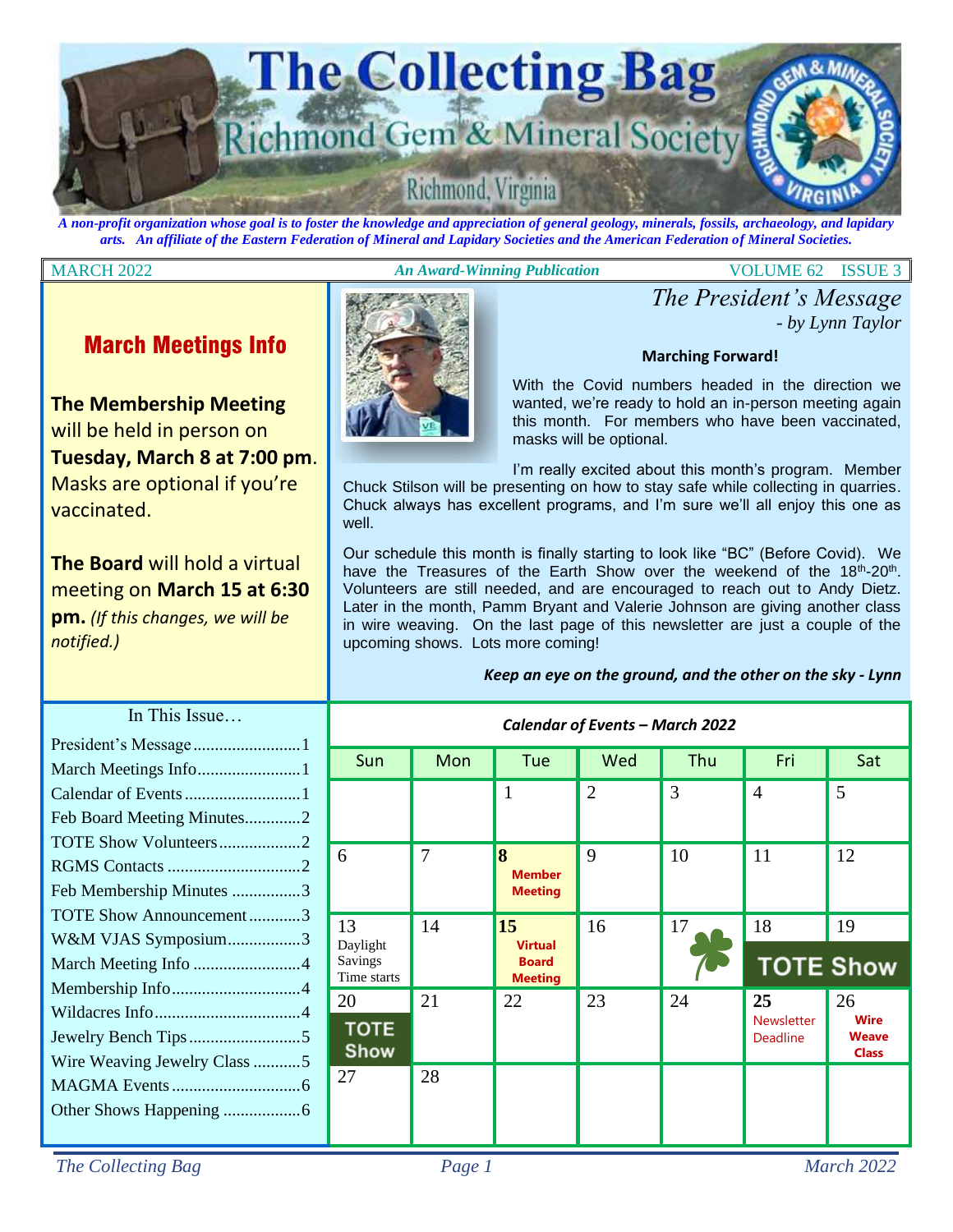

*A non-profit organization whose goal is to foster the knowledge and appreciation of general geology, minerals, fossils, archaeology, and lapidary arts. An affiliate of the Eastern Federation of Mineral and Lapidary Societies and the American Federation of Mineral Societies.*

### MARCH 2022 *An Award-Winning Publication* VOLUME 62 ISSUE 3

*- by Lynn Taylor*

*The President's Message*

## March Meetings Info

**The Membership Meeting**  will be held in person on **Tuesday, March 8 at 7:00 pm**. Masks are optional if you're vaccinated.

**The Board** will hold a virtual meeting on **March 15 at 6:30 pm.** *(If this changes, we will be notified.)*



With the Covid numbers headed in the direction we wanted, we're ready to hold an in-person meeting again this month. For members who have been vaccinated, masks will be optional.

**Marching Forward!**

I'm really excited about this month's program. Member

Chuck Stilson will be presenting on how to stay safe while collecting in quarries. Chuck always has excellent programs, and I'm sure we'll all enjoy this one as well.

Our schedule this month is finally starting to look like "BC" (Before Covid). We have the Treasures of the Earth Show over the weekend of the 18<sup>th</sup>-20<sup>th</sup>. Volunteers are still needed, and are encouraged to reach out to Andy Dietz. Later in the month, Pamm Bryant and Valerie Johnson are giving another class in wire weaving. On the last page of this newsletter are just a couple of the upcoming shows. Lots more coming!

|  |  |  | Keep an eye on the ground, and the other on the sky - Lynn |
|--|--|--|------------------------------------------------------------|
|--|--|--|------------------------------------------------------------|

| $\mathbf{B}$<br>. 1      | Calendar of Events - March 2022          |     |                                                                     |                |     |                                            |                                                   |
|--------------------------|------------------------------------------|-----|---------------------------------------------------------------------|----------------|-----|--------------------------------------------|---------------------------------------------------|
| .                        | Sun                                      | Mon | Tue                                                                 | Wed            | Thu | Fri                                        | Sat                                               |
| .<br>utes2               |                                          |     | $\mathbf{1}$                                                        | $\overline{2}$ | 3   | $\overline{4}$                             | 5                                                 |
| 2<br>2<br>$\mathbf{s}$ 3 | 6                                        | 7   | 8<br><b>Member</b><br><b>Meeting</b>                                | 9              | 10  | 11                                         | 12                                                |
| nent3<br>n3<br>4         | 13<br>Daylight<br>Savings<br>Time starts | 14  | $\overline{15}$<br><b>Virtual</b><br><b>Board</b><br><b>Meeting</b> | 16             | 17  | 18<br><b>TOTE Show</b>                     | 19                                                |
| . 4<br>.<br>Class $5$    | 20<br><b>TOTE</b><br><b>Show</b>         | 21  | 22                                                                  | 23             | 24  | 25<br><b>Newsletter</b><br><b>Deadline</b> | 26<br><b>Wire</b><br><b>Weave</b><br><b>Class</b> |
|                          | 27                                       | 28  |                                                                     |                |     |                                            |                                                   |

## In This Issue

| March Meetings Info1         |  |
|------------------------------|--|
|                              |  |
| Feb Board Meeting Minutes2   |  |
| TOTE Show Volunteers2        |  |
|                              |  |
| Feb Membership Minutes 3     |  |
| TOTE Show Announcement3      |  |
| W&M VJAS Symposium3          |  |
| March Meeting Info 4         |  |
|                              |  |
|                              |  |
|                              |  |
| Wire Weaving Jewelry Class 5 |  |
|                              |  |
|                              |  |
|                              |  |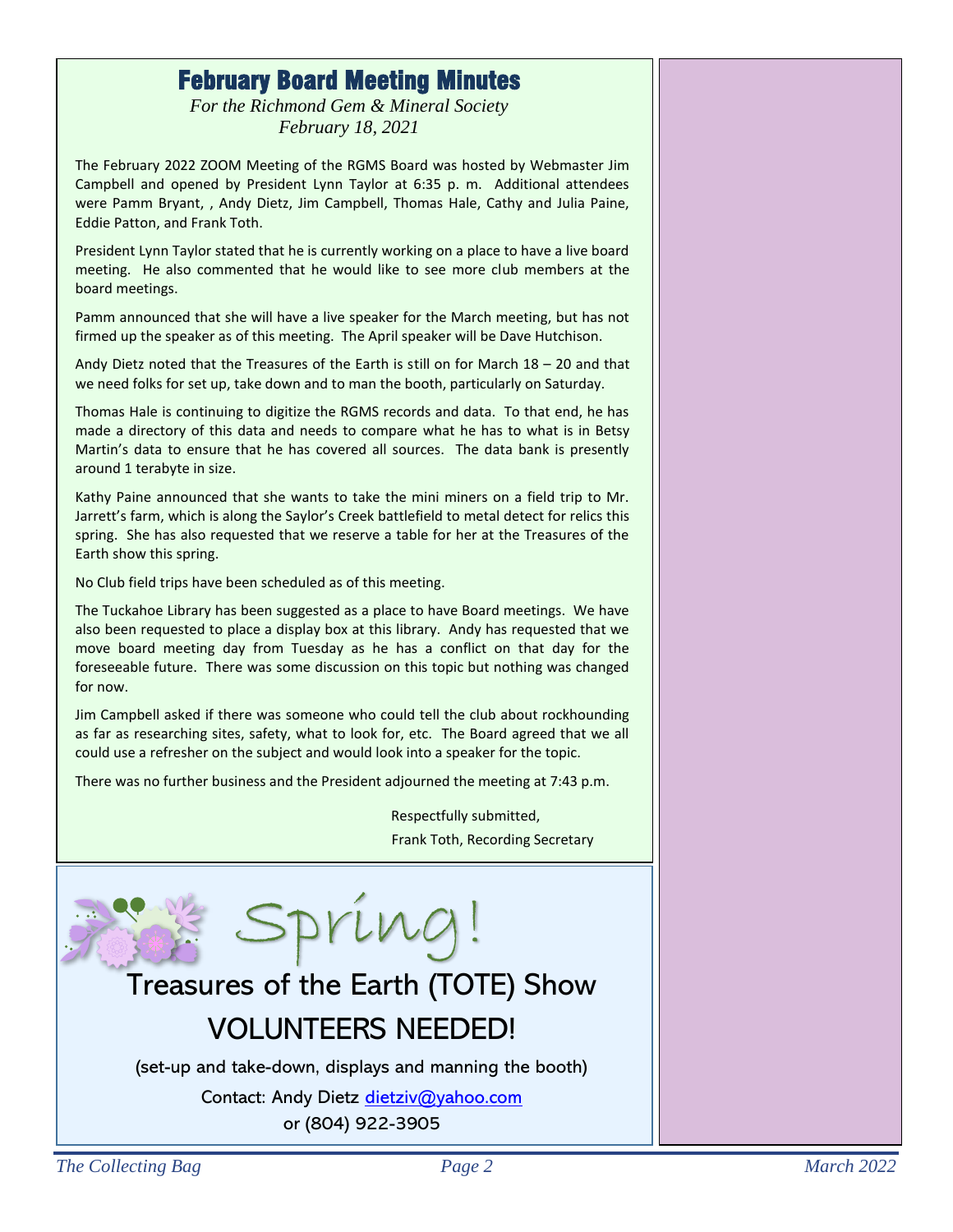## February Board Meeting Minutes

*For the Richmond Gem & Mineral Society February 18, 2021*

The February 2022 ZOOM Meeting of the RGMS Board was hosted by Webmaster Jim Campbell and opened by President Lynn Taylor at 6:35 p. m. Additional attendees were Pamm Bryant, , Andy Dietz, Jim Campbell, Thomas Hale, Cathy and Julia Paine, Eddie Patton, and Frank Toth.

President Lynn Taylor stated that he is currently working on a place to have a live board meeting. He also commented that he would like to see more club members at the board meetings.

Pamm announced that she will have a live speaker for the March meeting, but has not firmed up the speaker as of this meeting. The April speaker will be Dave Hutchison.

Andy Dietz noted that the Treasures of the Earth is still on for March 18 – 20 and that we need folks for set up, take down and to man the booth, particularly on Saturday.

Thomas Hale is continuing to digitize the RGMS records and data. To that end, he has made a directory of this data and needs to compare what he has to what is in Betsy Martin's data to ensure that he has covered all sources. The data bank is presently around 1 terabyte in size.

Kathy Paine announced that she wants to take the mini miners on a field trip to Mr. Jarrett's farm, which is along the Saylor's Creek battlefield to metal detect for relics this spring. She has also requested that we reserve a table for her at the Treasures of the Earth show this spring.

No Club field trips have been scheduled as of this meeting.

The Tuckahoe Library has been suggested as a place to have Board meetings. We have also been requested to place a display box at this library. Andy has requested that we move board meeting day from Tuesday as he has a conflict on that day for the foreseeable future. There was some discussion on this topic but nothing was changed for now.

Jim Campbell asked if there was someone who could tell the club about rockhounding as far as researching sites, safety, what to look for, etc. The Board agreed that we all could use a refresher on the subject and would look into a speaker for the topic.

There was no further business and the President adjourned the meeting at 7:43 p.m.

Respectfully submitted, Frank Toth, Recording Secretary



## Treasures of the Earth (TOTE) Show VOLUNTEERS NEEDED!

(set-up and take-down, displays and manning the booth)

Contact: Andy Dietz [dietziv@yahoo.com](mailto:dietziv@yahoo.com) or (804) 922-3905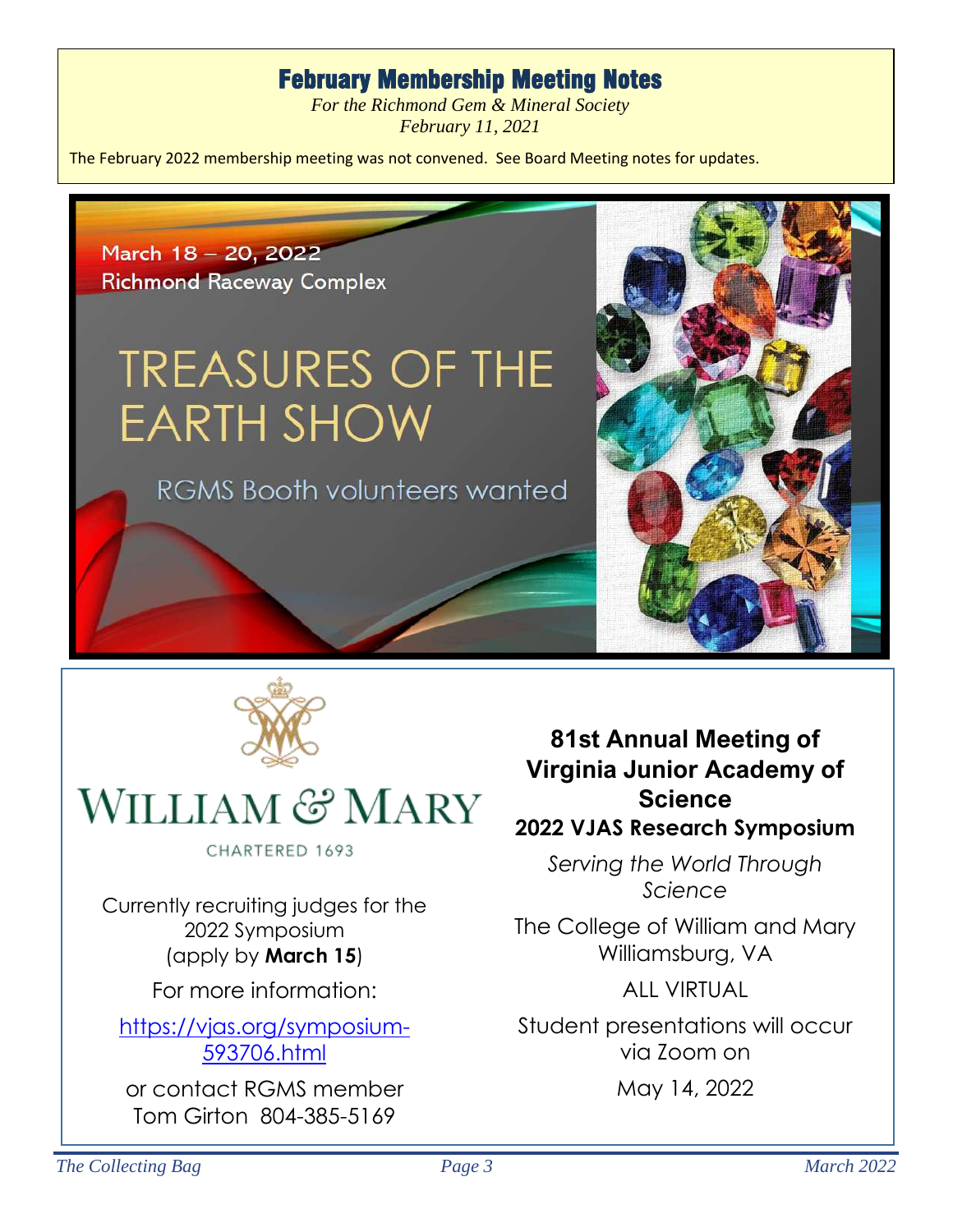## February Membership Meeting Notes

*For the Richmond Gem & Mineral Society February 11, 2021*

The February 2022 membership meeting was not convened. See Board Meeting notes for updates.





# WILLIAM & MARY

CHARTERED 1693

Currently recruiting judges for the 2022 Symposium (apply by **March 15**)

For more information:

[https://vjas.org/symposium-](https://vjas.org/symposium-593706.html)[593706.html](https://vjas.org/symposium-593706.html)

or contact RGMS member Tom Girton 804-385-5169

**81st Annual Meeting of Virginia Junior Academy of Science 2022 VJAS Research Symposium**

*Serving the World Through Science*

The College of William and Mary Williamsburg, VA

ALL VIRTUAL

Student presentations will occur via Zoom on

May 14, 2022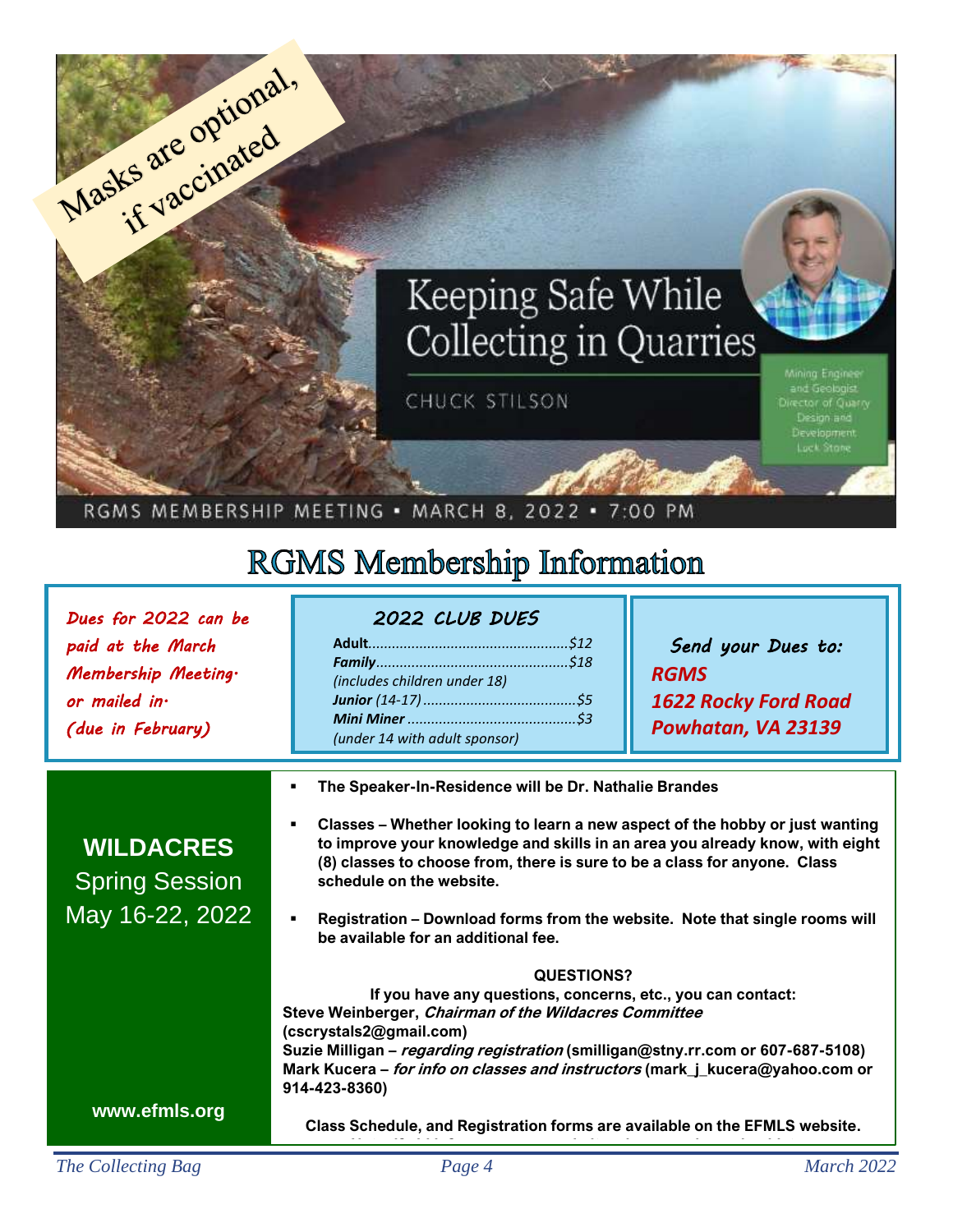

## RGMS MEMBERSHIP MEETING . MARCH 8, 2022 . 7:00 PM

# **RGMS Membership Information**

| Dues for 2022 can be<br>paid at the March<br>Membership Meeting.<br>or mailed in.<br>(due in February) | 2022 CLUB DUES<br>(includes children under 18)<br>(under 14 with adult sponsor)                                                                                                                                                                                                                                                                                                                                                                      | Send your Dues to:<br><b>RGMS</b><br>1622 Rocky Ford Road<br>Powhatan, VA 23139 |  |  |
|--------------------------------------------------------------------------------------------------------|------------------------------------------------------------------------------------------------------------------------------------------------------------------------------------------------------------------------------------------------------------------------------------------------------------------------------------------------------------------------------------------------------------------------------------------------------|---------------------------------------------------------------------------------|--|--|
| <b>WILDACRES</b><br><b>Spring Session</b><br>May 16-22, 2022                                           | The Speaker-In-Residence will be Dr. Nathalie Brandes<br>Classes - Whether looking to learn a new aspect of the hobby or just wanting<br>to improve your knowledge and skills in an area you already know, with eight<br>(8) classes to choose from, there is sure to be a class for anyone. Class<br>schedule on the website.<br>Registration - Download forms from the website. Note that single rooms will<br>be available for an additional fee. |                                                                                 |  |  |
|                                                                                                        | <b>QUESTIONS?</b><br>If you have any questions, concerns, etc., you can contact:<br>Steve Weinberger, Chairman of the Wildacres Committee<br>(cscrystals2@gmail.com)<br>Suzie Milligan - regarding registration (smilligan@stny.rr.com or 607-687-5108)<br>Mark Kucera – for info on classes and instructors (mark_j_kucera@yahoo.com or<br>914-423-8360)                                                                                            |                                                                                 |  |  |
| www.efmls.org                                                                                          | Class Schedule, and Registration forms are available on the EFMLS website.                                                                                                                                                                                                                                                                                                                                                                           |                                                                                 |  |  |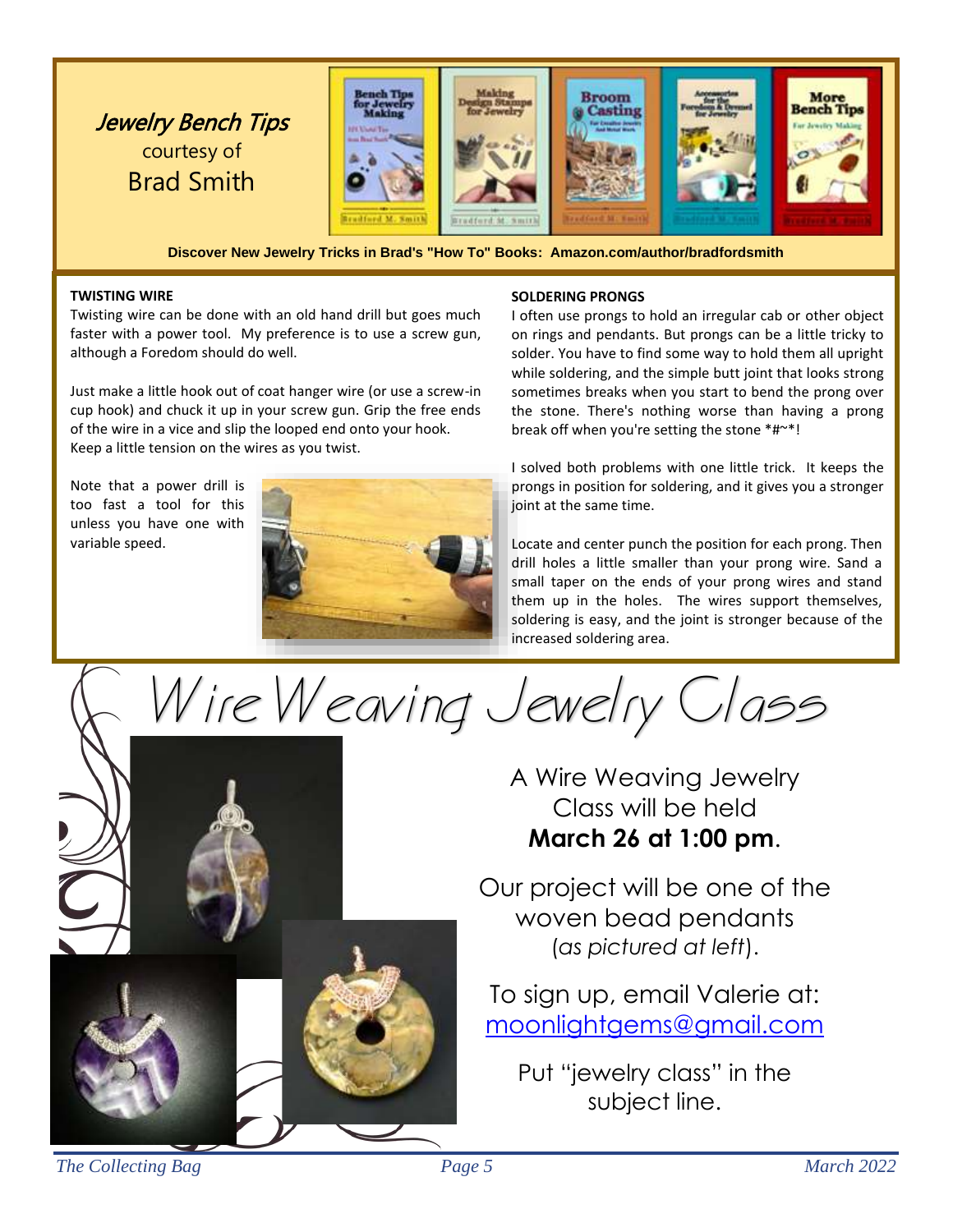

**Discover New Jewelry Tricks in Brad's "How To" Books: Amazon.com/author/bradfordsmith**

### **TWISTING WIRE**

Twisting wire can be done with an old hand drill but goes much faster with a power tool. My preference is to use a screw gun, although a Foredom should do well.

Just make a little hook out of coat hanger wire (or use a screw-in cup hook) and chuck it up in your screw gun. Grip the free ends of the wire in a vice and slip the looped end onto your hook. Keep a little tension on the wires as you twist.

Note that a power drill is too fast a tool for this unless you have one with variable speed.



### **SOLDERING PRONGS**

I often use prongs to hold an irregular cab or other object on rings and pendants. But prongs can be a little tricky to solder. You have to find some way to hold them all upright while soldering, and the simple butt joint that looks strong sometimes breaks when you start to bend the prong over the stone. There's nothing worse than having a prong break off when you're setting the stone \*#~\*!

I solved both problems with one little trick. It keeps the prongs in position for soldering, and it gives you a stronger joint at the same time.

Locate and center punch the position for each prong. Then drill holes a little smaller than your prong wire. Sand a small taper on the ends of your prong wires and stand them up in the holes. The wires support themselves, soldering is easy, and the joint is stronger because of the increased soldering area.

Wire Weaving Jewelry Class

A Wire Weaving Jewelry Class will be held **March 26 at 1:00 pm**.

Our project will be one of the woven bead pendants (*as pictured at left*).

To sign up, email Valerie at: [moonlightgems@gmail.com](mailto:moonlightgems@gmail.com)

Put "jewelry class" in the subject line.

*The Collecting Bag Page 5 March 2022*